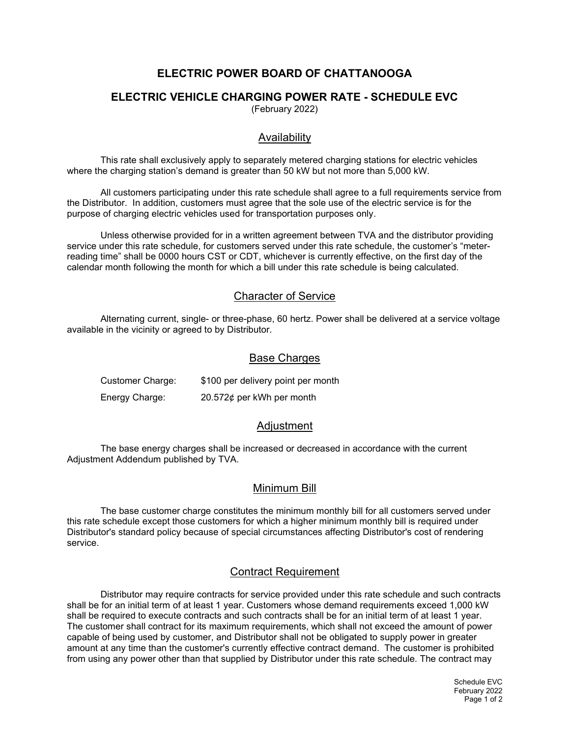# ELECTRIC POWER BOARD OF CHATTANOOGA

## ELECTRIC VEHICLE CHARGING POWER RATE - SCHEDULE EVC

(February 2022)

### Availability

This rate shall exclusively apply to separately metered charging stations for electric vehicles where the charging station's demand is greater than 50 kW but not more than 5,000 kW.

All customers participating under this rate schedule shall agree to a full requirements service from the Distributor. In addition, customers must agree that the sole use of the electric service is for the purpose of charging electric vehicles used for transportation purposes only.

Unless otherwise provided for in a written agreement between TVA and the distributor providing service under this rate schedule, for customers served under this rate schedule, the customer's "meterreading time" shall be 0000 hours CST or CDT, whichever is currently effective, on the first day of the calendar month following the month for which a bill under this rate schedule is being calculated.

#### Character of Service

Alternating current, single- or three-phase, 60 hertz. Power shall be delivered at a service voltage available in the vicinity or agreed to by Distributor.

#### Base Charges

| Customer Charge: | \$100 per delivery point per month |
|------------------|------------------------------------|
| Energy Charge:   | 20.572¢ per kWh per month          |

#### Adjustment

The base energy charges shall be increased or decreased in accordance with the current Adjustment Addendum published by TVA.

#### Minimum Bill

The base customer charge constitutes the minimum monthly bill for all customers served under this rate schedule except those customers for which a higher minimum monthly bill is required under Distributor's standard policy because of special circumstances affecting Distributor's cost of rendering service.

## Contract Requirement

Distributor may require contracts for service provided under this rate schedule and such contracts shall be for an initial term of at least 1 year. Customers whose demand requirements exceed 1,000 kW shall be required to execute contracts and such contracts shall be for an initial term of at least 1 year. The customer shall contract for its maximum requirements, which shall not exceed the amount of power capable of being used by customer, and Distributor shall not be obligated to supply power in greater amount at any time than the customer's currently effective contract demand. The customer is prohibited from using any power other than that supplied by Distributor under this rate schedule. The contract may

> Schedule EVC February 2022 Page 1 of 2